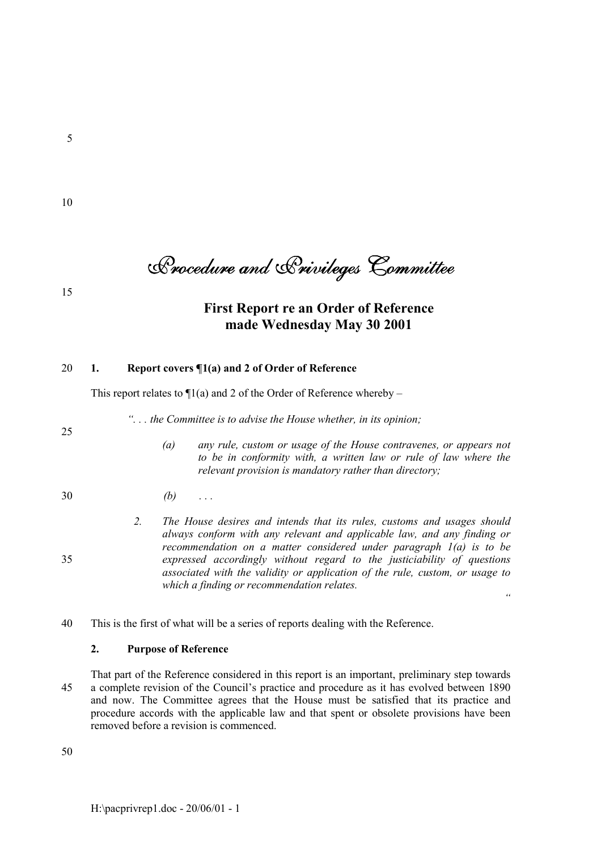5

10

Procedure and Privileges Committee

15

# **First Report re an Order of Reference made Wednesday May 30 2001**

# 20 **1. Report covers ¶1(a) and 2 of Order of Reference**

This report relates to  $\Pi(a)$  and 2 of the Order of Reference whereby –

*ì. . . the Committee is to advise the House whether, in its opinion;*

25

- *(a) any rule, custom or usage of the House contravenes, or appears not to be in conformity with, a written law or rule of law where the relevant provision is mandatory rather than directory;*
- 30 *(b) . . .*
- *2. The House desires and intends that its rules, customs and usages should always conform with any relevant and applicable law, and any finding or recommendation on a matter considered under paragraph 1(a) is to be* 35 *expressed accordingly without regard to the justiciability of questions associated with the validity or application of the rule, custom, or usage to which a finding or recommendation relates. ì*

40 This is the first of what will be a series of reports dealing with the Reference.

# **2. Purpose of Reference**

That part of the Reference considered in this report is an important, preliminary step towards 45 a complete revision of the Council's practice and procedure as it has evolved between 1890 and now. The Committee agrees that the House must be satisfied that its practice and procedure accords with the applicable law and that spent or obsolete provisions have been removed before a revision is commenced.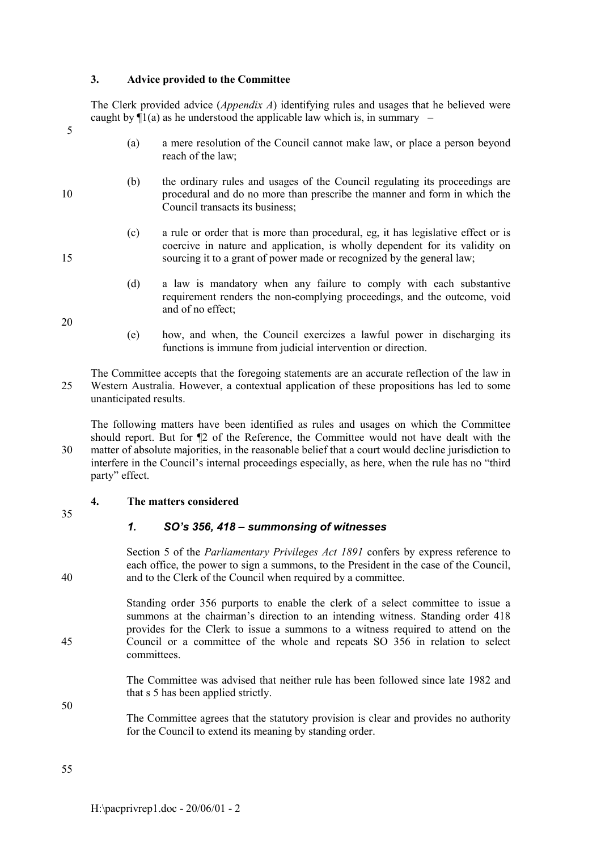## **3. Advice provided to the Committee**

The Clerk provided advice (*Appendix A*) identifying rules and usages that he believed were caught by  $\Pi(a)$  as he understood the applicable law which is, in summary  $\overline{\phantom{a}}$ 

- (a) a mere resolution of the Council cannot make law, or place a person beyond reach of the law;
- (b) the ordinary rules and usages of the Council regulating its proceedings are 10 procedural and do no more than prescribe the manner and form in which the Council transacts its business;
- (c) a rule or order that is more than procedural, eg, it has legislative effect or is coercive in nature and application, is wholly dependent for its validity on 15 sourcing it to a grant of power made or recognized by the general law;
	- (d) a law is mandatory when any failure to comply with each substantive requirement renders the non-complying proceedings, and the outcome, void and of no effect;

20

5

- (e) how, and when, the Council exercizes a lawful power in discharging its functions is immune from judicial intervention or direction.
- The Committee accepts that the foregoing statements are an accurate reflection of the law in 25 Western Australia. However, a contextual application of these propositions has led to some unanticipated results.

The following matters have been identified as rules and usages on which the Committee should report. But for ¶2 of the Reference, the Committee would not have dealt with the 30 matter of absolute majorities, in the reasonable belief that a court would decline jurisdiction to interfere in the Council's internal proceedings especially, as here, when the rule has no "third" party" effect.

# **4. The matters considered**

# 1. SO's 356, 418 – summonsing of witnesses

Section 5 of the *Parliamentary Privileges Act 1891* confers by express reference to each office, the power to sign a summons, to the President in the case of the Council, 40 and to the Clerk of the Council when required by a committee.

Standing order 356 purports to enable the clerk of a select committee to issue a summons at the chairman's direction to an intending witness. Standing order 418 provides for the Clerk to issue a summons to a witness required to attend on the 45 Council or a committee of the whole and repeats SO 356 in relation to select committees.

> The Committee was advised that neither rule has been followed since late 1982 and that s 5 has been applied strictly.

> The Committee agrees that the statutory provision is clear and provides no authority for the Council to extend its meaning by standing order.

55

<sup>35</sup>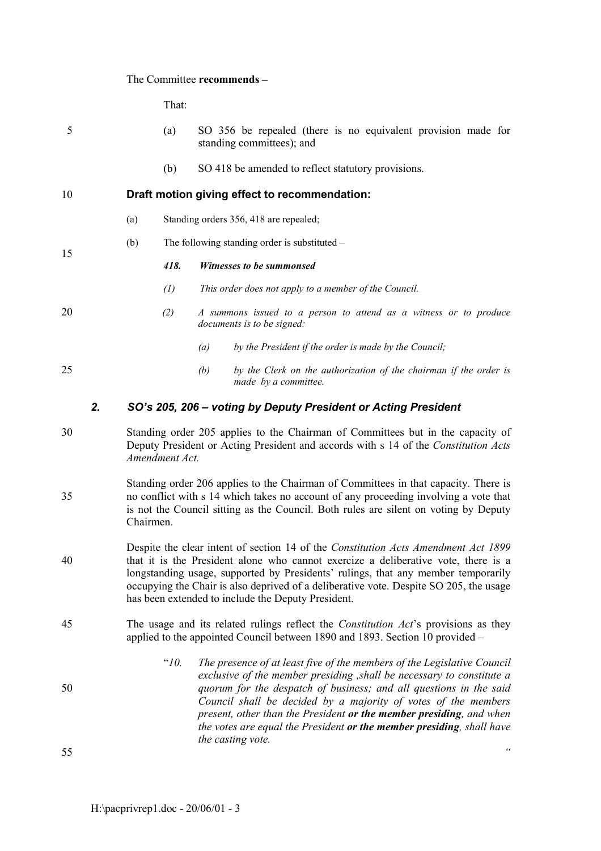# The Committee **recommends** –

That:

| 5  |    |                                                                                                                                                                                                                                                                                  | (a)               | SO 356 be repealed (there is no equivalent provision made for<br>standing committees); and                                                                                                                                                                                                                                                                                                                                                                    |
|----|----|----------------------------------------------------------------------------------------------------------------------------------------------------------------------------------------------------------------------------------------------------------------------------------|-------------------|---------------------------------------------------------------------------------------------------------------------------------------------------------------------------------------------------------------------------------------------------------------------------------------------------------------------------------------------------------------------------------------------------------------------------------------------------------------|
|    |    |                                                                                                                                                                                                                                                                                  | (b)               | SO 418 be amended to reflect statutory provisions.                                                                                                                                                                                                                                                                                                                                                                                                            |
| 10 |    |                                                                                                                                                                                                                                                                                  |                   | Draft motion giving effect to recommendation:                                                                                                                                                                                                                                                                                                                                                                                                                 |
|    |    | (a)                                                                                                                                                                                                                                                                              |                   | Standing orders 356, 418 are repealed;                                                                                                                                                                                                                                                                                                                                                                                                                        |
| 15 |    | (b)                                                                                                                                                                                                                                                                              |                   | The following standing order is substituted -                                                                                                                                                                                                                                                                                                                                                                                                                 |
|    |    |                                                                                                                                                                                                                                                                                  | 418.              | Witnesses to be summonsed                                                                                                                                                                                                                                                                                                                                                                                                                                     |
|    |    |                                                                                                                                                                                                                                                                                  | $\left( l\right)$ | This order does not apply to a member of the Council.                                                                                                                                                                                                                                                                                                                                                                                                         |
| 20 |    |                                                                                                                                                                                                                                                                                  | (2)               | A summons issued to a person to attend as a witness or to produce<br>documents is to be signed:                                                                                                                                                                                                                                                                                                                                                               |
|    |    |                                                                                                                                                                                                                                                                                  |                   | by the President if the order is made by the Council;<br>(a)                                                                                                                                                                                                                                                                                                                                                                                                  |
| 25 |    |                                                                                                                                                                                                                                                                                  |                   | by the Clerk on the authorization of the chairman if the order is<br>(b)<br>made by a committee.                                                                                                                                                                                                                                                                                                                                                              |
|    | 2. |                                                                                                                                                                                                                                                                                  |                   | SO's 205, 206 - voting by Deputy President or Acting President                                                                                                                                                                                                                                                                                                                                                                                                |
| 30 |    |                                                                                                                                                                                                                                                                                  | Amendment Act.    | Standing order 205 applies to the Chairman of Committees but in the capacity of<br>Deputy President or Acting President and accords with s 14 of the Constitution Acts                                                                                                                                                                                                                                                                                        |
| 35 |    | Standing order 206 applies to the Chairman of Committees in that capacity. There is<br>no conflict with s 14 which takes no account of any proceeding involving a vote that<br>is not the Council sitting as the Council. Both rules are silent on voting by Deputy<br>Chairmen. |                   |                                                                                                                                                                                                                                                                                                                                                                                                                                                               |
| 40 |    |                                                                                                                                                                                                                                                                                  |                   | Despite the clear intent of section 14 of the Constitution Acts Amendment Act 1899<br>that it is the President alone who cannot exercize a deliberative vote, there is a<br>longstanding usage, supported by Presidents' rulings, that any member temporarily<br>occupying the Chair is also deprived of a deliberative vote. Despite SO 205, the usage<br>has been extended to include the Deputy President.                                                 |
| 45 |    |                                                                                                                                                                                                                                                                                  |                   | The usage and its related rulings reflect the <i>Constitution Act's</i> provisions as they<br>applied to the appointed Council between 1890 and 1893. Section 10 provided –                                                                                                                                                                                                                                                                                   |
| 50 |    |                                                                                                                                                                                                                                                                                  | "10.              | The presence of at least five of the members of the Legislative Council<br>exclusive of the member presiding, shall be necessary to constitute a<br>quorum for the despatch of business; and all questions in the said<br>Council shall be decided by a majority of votes of the members<br>present, other than the President or the member presiding, and when<br>the votes are equal the President or the member presiding, shall have<br>the casting vote. |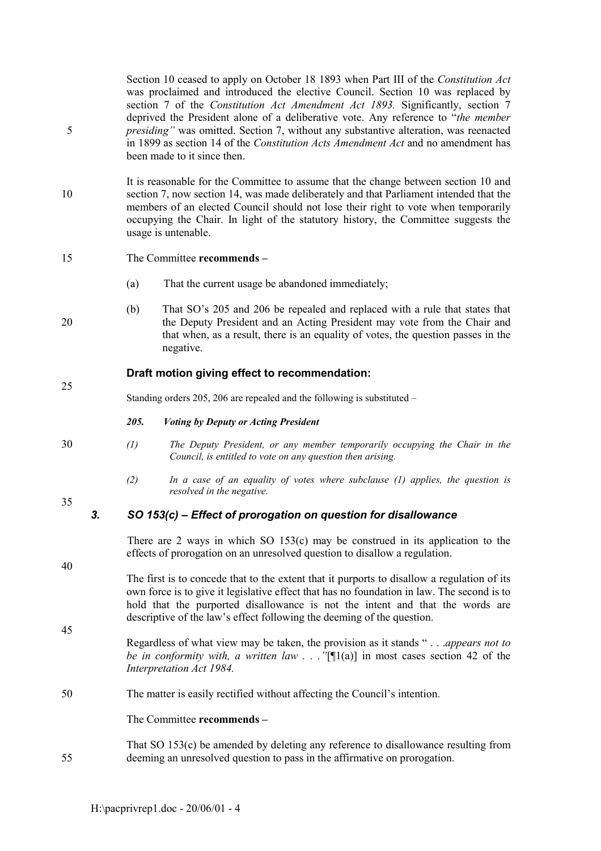Section 10 ceased to apply on October 18 1893 when Part III of the *Constitution Act* was proclaimed and introduced the elective Council. Section 10 was replaced by section 7 of the *Constitution Act Amendment Act 1893.* Significantly, section 7 deprived the President alone of a deliberative vote. Any reference to *<sup><i>'*</sup>the member</sup> 5 *presidingî* was omitted. Section 7, without any substantive alteration, was reenacted in 1899 as section 14 of the *Constitution Acts Amendment Act* and no amendment has been made to it since then.

It is reasonable for the Committee to assume that the change between section 10 and 10 section 7, now section 14, was made deliberately and that Parliament intended that the members of an elected Council should not lose their right to vote when temporarily occupying the Chair. In light of the statutory history, the Committee suggests the usage is untenable.

# 15 The Committee **recommends** –

- (a) That the current usage be abandoned immediately;
- (b) That SO's 205 and 206 be repealed and replaced with a rule that states that 20 the Deputy President and an Acting President may vote from the Chair and that when, as a result, there is an equality of votes, the question passes in the negative.

# **Draft motion giving effect to recommendation:**

Standing orders 205, 206 are repealed and the following is substituted  $-$ 

# *205. Voting by Deputy or Acting President*

- 30 *(1) The Deputy President, or any member temporarily occupying the Chair in the Council, is entitled to vote on any question then arising.*
	- *(2) In a case of an equality of votes where subclause (1) applies, the question is resolved in the negative.*

35

40

45

25

# 3. SO 153(c) – Effect of prorogation on question for disallowance

There are 2 ways in which SO 153(c) may be construed in its application to the effects of prorogation on an unresolved question to disallow a regulation.

The first is to concede that to the extent that it purports to disallow a regulation of its own force is to give it legislative effect that has no foundation in law. The second is to hold that the purported disallowance is not the intent and that the words are descriptive of the law's effect following the deeming of the question.

Regardless of what view may be taken, the provision as it stands "... *appears not to be in conformity with, a written law ...* "[ $[1(a)]$  in most cases section 42 of the *Interpretation Act 1984.*

50 The matter is easily rectified without affecting the Council's intention.

The Committee **recommends** –

That SO 153(c) be amended by deleting any reference to disallowance resulting from 55 deeming an unresolved question to pass in the affirmative on prorogation.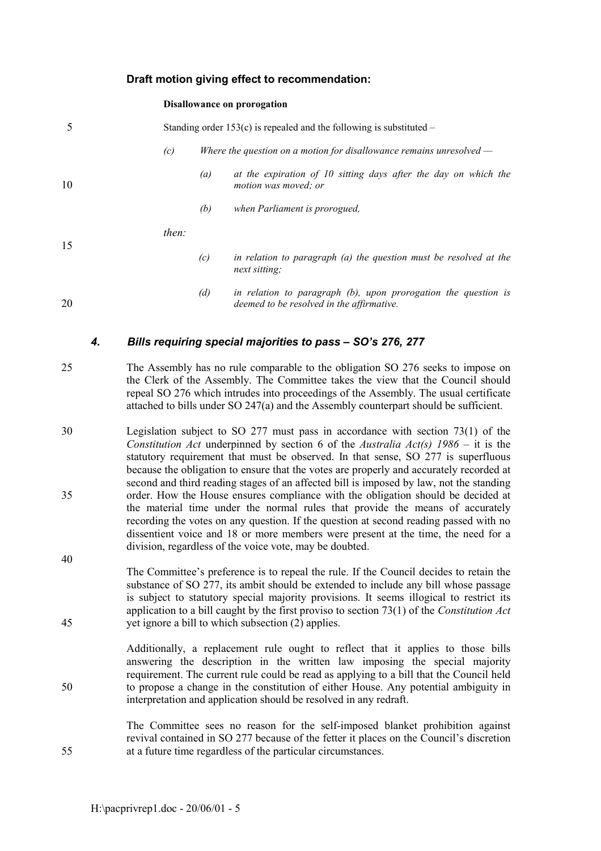# **Draft motion giving effect to recommendation:**

#### **Disallowance on prorogation**

| 5  |       |     | Standing order $153(c)$ is repealed and the following is substituted –                                         |
|----|-------|-----|----------------------------------------------------------------------------------------------------------------|
|    | (c)   |     | Where the question on a motion for disallowance remains unresolved $-$                                         |
| 10 |       | (a) | at the expiration of 10 sitting days after the day on which the<br>motion was moved; or                        |
|    |       | (b) | when Parliament is prorogued,                                                                                  |
|    | then: |     |                                                                                                                |
| 15 |       | (c) | in relation to paragraph (a) the question must be resolved at the<br>next sitting;                             |
| 20 |       | (d) | in relation to paragraph $(b)$ , upon prorogation the question is<br>deemed to be resolved in the affirmative. |

#### *4. Bills requiring special majorities to pass ñ SOís 276, 277*

- 25 The Assembly has no rule comparable to the obligation SO 276 seeks to impose on the Clerk of the Assembly. The Committee takes the view that the Council should repeal SO 276 which intrudes into proceedings of the Assembly. The usual certificate attached to bills under SO 247(a) and the Assembly counterpart should be sufficient.
- 30 Legislation subject to SO 277 must pass in accordance with section 73(1) of the *Constitution Act* underpinned by section 6 of the *Australia Act(s)*  $1986 -$  it is the statutory requirement that must be observed. In that sense, SO 277 is superfluous because the obligation to ensure that the votes are properly and accurately recorded at second and third reading stages of an affected bill is imposed by law, not the standing 35 order. How the House ensures compliance with the obligation should be decided at the material time under the normal rules that provide the means of accurately recording the votes on any question. If the question at second reading passed with no dissentient voice and 18 or more members were present at the time, the need for a division, regardless of the voice vote, may be doubted.
- The Committee's preference is to repeal the rule. If the Council decides to retain the substance of SO 277, its ambit should be extended to include any bill whose passage is subject to statutory special majority provisions. It seems illogical to restrict its application to a bill caught by the first proviso to section 73(1) of the *Constitution Act* 45 yet ignore a bill to which subsection (2) applies.

Additionally, a replacement rule ought to reflect that it applies to those bills answering the description in the written law imposing the special majority requirement. The current rule could be read as applying to a bill that the Council held 50 to propose a change in the constitution of either House. Any potential ambiguity in interpretation and application should be resolved in any redraft.

The Committee sees no reason for the self-imposed blanket prohibition against revival contained in SO 277 because of the fetter it places on the Council's discretion 55 at a future time regardless of the particular circumstances.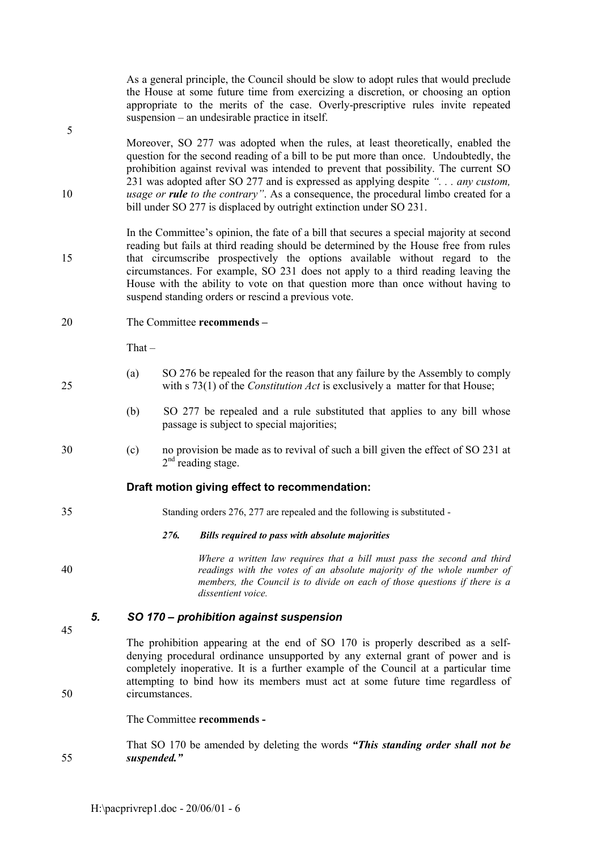|         |    |                                                                                                                                                                                                                                                                                                                                                                                                                                                                                                                     |      | As a general principle, the Council should be slow to adopt rules that would preclude<br>the House at some future time from exercizing a discretion, or choosing an option<br>appropriate to the merits of the case. Overly-prescriptive rules invite repeated<br>suspension – an undesirable practice in itself. |  |
|---------|----|---------------------------------------------------------------------------------------------------------------------------------------------------------------------------------------------------------------------------------------------------------------------------------------------------------------------------------------------------------------------------------------------------------------------------------------------------------------------------------------------------------------------|------|-------------------------------------------------------------------------------------------------------------------------------------------------------------------------------------------------------------------------------------------------------------------------------------------------------------------|--|
| 5<br>10 |    | Moreover, SO 277 was adopted when the rules, at least theoretically, enabled the<br>question for the second reading of a bill to be put more than once. Undoubtedly, the<br>prohibition against revival was intended to prevent that possibility. The current SO<br>231 was adopted after SO 277 and is expressed as applying despite ". any custom,<br>usage or rule to the contrary". As a consequence, the procedural limbo created for a<br>bill under SO 277 is displaced by outright extinction under SO 231. |      |                                                                                                                                                                                                                                                                                                                   |  |
| 15      |    | In the Committee's opinion, the fate of a bill that secures a special majority at second<br>reading but fails at third reading should be determined by the House free from rules<br>that circumscribe prospectively the options available without regard to the<br>circumstances. For example, SO 231 does not apply to a third reading leaving the<br>House with the ability to vote on that question more than once without having to<br>suspend standing orders or rescind a previous vote.                      |      |                                                                                                                                                                                                                                                                                                                   |  |
| 20      |    |                                                                                                                                                                                                                                                                                                                                                                                                                                                                                                                     |      | The Committee recommends -                                                                                                                                                                                                                                                                                        |  |
|         |    | That $-$                                                                                                                                                                                                                                                                                                                                                                                                                                                                                                            |      |                                                                                                                                                                                                                                                                                                                   |  |
| 25      |    | (a)                                                                                                                                                                                                                                                                                                                                                                                                                                                                                                                 |      | SO 276 be repealed for the reason that any failure by the Assembly to comply<br>with $s$ 73(1) of the <i>Constitution Act</i> is exclusively a matter for that House;                                                                                                                                             |  |
|         |    | (b)                                                                                                                                                                                                                                                                                                                                                                                                                                                                                                                 |      | SO 277 be repealed and a rule substituted that applies to any bill whose<br>passage is subject to special majorities;                                                                                                                                                                                             |  |
| 30      |    | (c)                                                                                                                                                                                                                                                                                                                                                                                                                                                                                                                 |      | no provision be made as to revival of such a bill given the effect of SO 231 at<br>$2nd$ reading stage.                                                                                                                                                                                                           |  |
|         |    |                                                                                                                                                                                                                                                                                                                                                                                                                                                                                                                     |      | Draft motion giving effect to recommendation:                                                                                                                                                                                                                                                                     |  |
| 35      |    |                                                                                                                                                                                                                                                                                                                                                                                                                                                                                                                     |      | Standing orders 276, 277 are repealed and the following is substituted -                                                                                                                                                                                                                                          |  |
|         |    |                                                                                                                                                                                                                                                                                                                                                                                                                                                                                                                     | 276. | <b>Bills required to pass with absolute majorities</b>                                                                                                                                                                                                                                                            |  |
| 40      |    |                                                                                                                                                                                                                                                                                                                                                                                                                                                                                                                     |      | Where a written law requires that a bill must pass the second and third<br>readings with the votes of an absolute majority of the whole number of<br>members, the Council is to divide on each of those questions if there is a<br>dissentient voice.                                                             |  |
|         | 5. |                                                                                                                                                                                                                                                                                                                                                                                                                                                                                                                     |      | SO 170 – prohibition against suspension                                                                                                                                                                                                                                                                           |  |
| 45      |    | The prohibition appearing at the end of SO 170 is properly described as a self-<br>denying procedural ordinance unsupported by any external grant of power and is<br>completely inoperative. It is a further example of the Council at a particular time                                                                                                                                                                                                                                                            |      |                                                                                                                                                                                                                                                                                                                   |  |
| 50      |    | attempting to bind how its members must act at some future time regardless of<br>circumstances.                                                                                                                                                                                                                                                                                                                                                                                                                     |      |                                                                                                                                                                                                                                                                                                                   |  |

The Committee **recommends -**

That SO 170 be amended by deleting the words "This standing order shall not be 55 *suspended.î*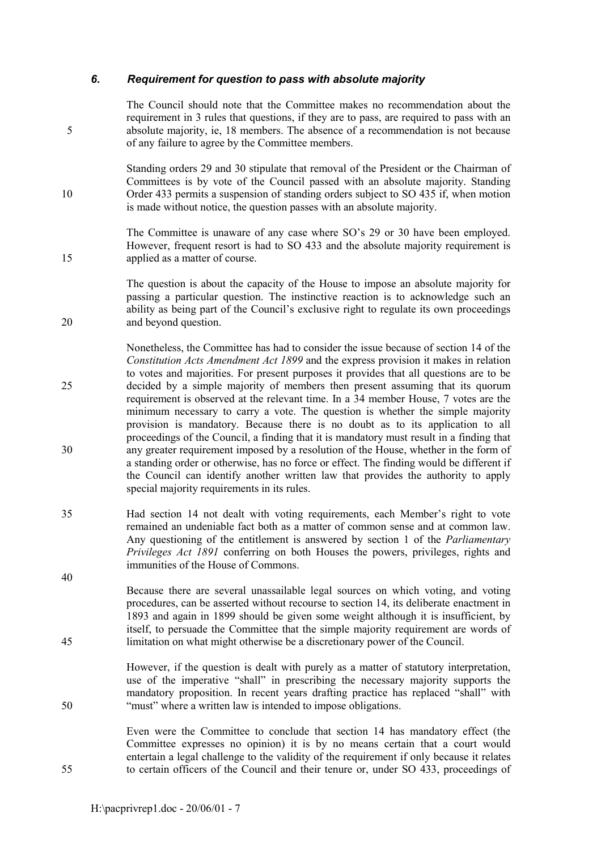# *6. Requirement for question to pass with absolute majority*

The Council should note that the Committee makes no recommendation about the requirement in 3 rules that questions, if they are to pass, are required to pass with an 5 absolute majority, ie, 18 members. The absence of a recommendation is not because of any failure to agree by the Committee members.

Standing orders 29 and 30 stipulate that removal of the President or the Chairman of Committees is by vote of the Council passed with an absolute majority. Standing 10 Order 433 permits a suspension of standing orders subject to SO 435 if, when motion is made without notice, the question passes with an absolute majority.

The Committee is unaware of any case where SO's 29 or 30 have been employed. However, frequent resort is had to SO 433 and the absolute majority requirement is 15 applied as a matter of course.

The question is about the capacity of the House to impose an absolute majority for passing a particular question. The instinctive reaction is to acknowledge such an ability as being part of the Council's exclusive right to regulate its own proceedings 20 and beyond question.

Nonetheless, the Committee has had to consider the issue because of section 14 of the *Constitution Acts Amendment Act 1899* and the express provision it makes in relation to votes and majorities. For present purposes it provides that all questions are to be 25 decided by a simple majority of members then present assuming that its quorum requirement is observed at the relevant time. In a 34 member House, 7 votes are the minimum necessary to carry a vote. The question is whether the simple majority provision is mandatory. Because there is no doubt as to its application to all proceedings of the Council, a finding that it is mandatory must result in a finding that 30 any greater requirement imposed by a resolution of the House, whether in the form of a standing order or otherwise, has no force or effect. The finding would be different if the Council can identify another written law that provides the authority to apply special majority requirements in its rules.

35 Had section 14 not dealt with voting requirements, each Member's right to vote remained an undeniable fact both as a matter of common sense and at common law. Any questioning of the entitlement is answered by section 1 of the *Parliamentary Privileges Act 1891* conferring on both Houses the powers, privileges, rights and immunities of the House of Commons.

Because there are several unassailable legal sources on which voting, and voting procedures, can be asserted without recourse to section 14, its deliberate enactment in 1893 and again in 1899 should be given some weight although it is insufficient, by itself, to persuade the Committee that the simple majority requirement are words of 45 limitation on what might otherwise be a discretionary power of the Council.

However, if the question is dealt with purely as a matter of statutory interpretation, use of the imperative "shall" in prescribing the necessary majority supports the mandatory proposition. In recent years drafting practice has replaced "shall" with 50 <sup>"must"</sup> where a written law is intended to impose obligations.

Even were the Committee to conclude that section 14 has mandatory effect (the Committee expresses no opinion) it is by no means certain that a court would entertain a legal challenge to the validity of the requirement if only because it relates 55 to certain officers of the Council and their tenure or, under SO 433, proceedings of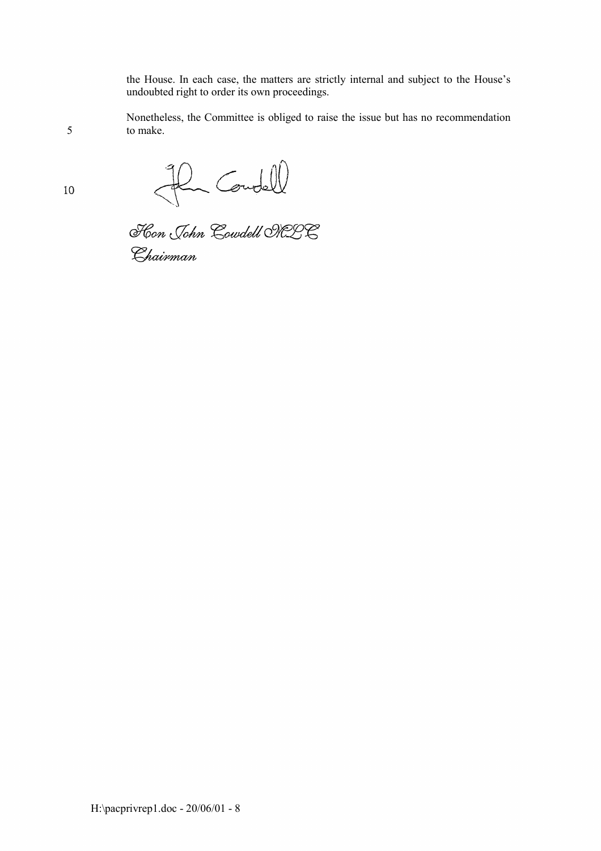the House. In each case, the matters are strictly internal and subject to the House's undoubted right to order its own proceedings.

Nonetheless, the Committee is obliged to raise the issue but has no recommendation 5 to make.

Flum Coudell<br>Floor John Coudell ORDE

Chairman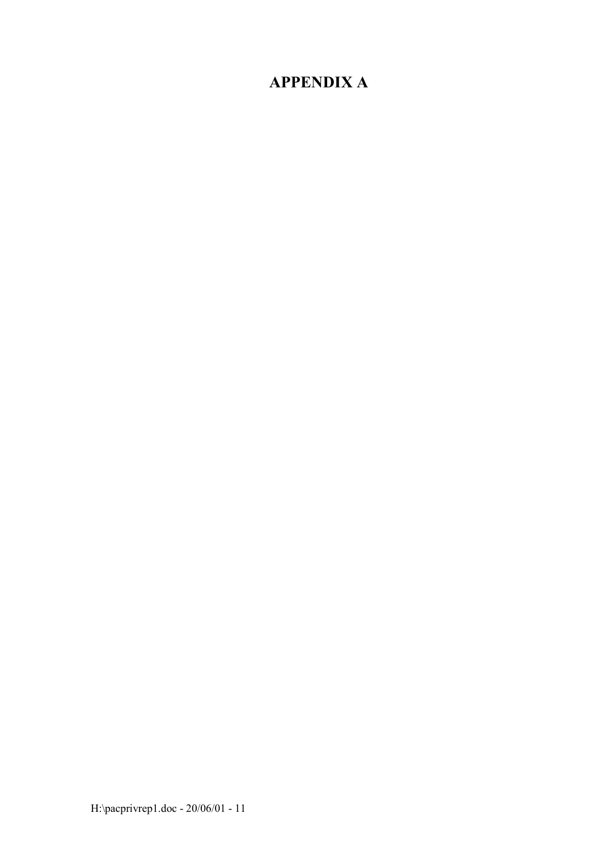# **APPENDIX A**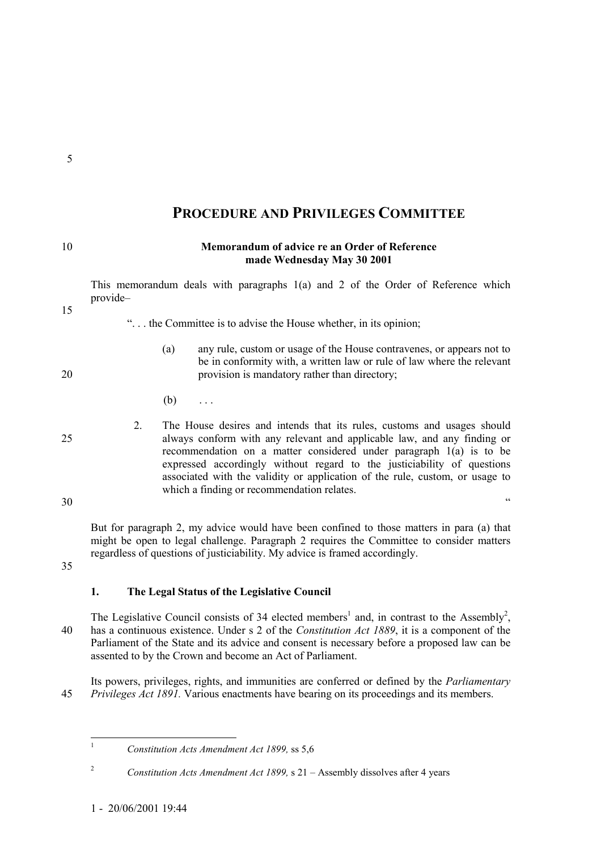# **PROCEDURE AND PRIVILEGES COMMITTEE**

| 10 |          |                                                                                                                                                                                                                                                                                                                                                                                        | Memorandum of advice re an Order of Reference<br>made Wednesday May 30 2001                                                                                                                                                                                          |  |
|----|----------|----------------------------------------------------------------------------------------------------------------------------------------------------------------------------------------------------------------------------------------------------------------------------------------------------------------------------------------------------------------------------------------|----------------------------------------------------------------------------------------------------------------------------------------------------------------------------------------------------------------------------------------------------------------------|--|
| 15 | provide- |                                                                                                                                                                                                                                                                                                                                                                                        | This memorandum deals with paragraphs 1(a) and 2 of the Order of Reference which                                                                                                                                                                                     |  |
|    |          |                                                                                                                                                                                                                                                                                                                                                                                        | " the Committee is to advise the House whether, in its opinion;                                                                                                                                                                                                      |  |
| 20 |          | (a)                                                                                                                                                                                                                                                                                                                                                                                    | any rule, custom or usage of the House contravenes, or appears not to<br>be in conformity with, a written law or rule of law where the relevant<br>provision is mandatory rather than directory;                                                                     |  |
|    |          | (b)                                                                                                                                                                                                                                                                                                                                                                                    | $\ldots$                                                                                                                                                                                                                                                             |  |
| 25 | $2_{-}$  | The House desires and intends that its rules, customs and usages should<br>always conform with any relevant and applicable law, and any finding or<br>recommendation on a matter considered under paragraph $1(a)$ is to be<br>expressed accordingly without regard to the justiciability of questions<br>associated with the validity or application of the rule, custom, or usage to |                                                                                                                                                                                                                                                                      |  |
| 30 |          |                                                                                                                                                                                                                                                                                                                                                                                        | which a finding or recommendation relates.<br>C C                                                                                                                                                                                                                    |  |
| 35 |          |                                                                                                                                                                                                                                                                                                                                                                                        | But for paragraph 2, my advice would have been confined to those matters in para (a) that<br>might be open to legal challenge. Paragraph 2 requires the Committee to consider matters<br>regardless of questions of justiciability. My advice is framed accordingly. |  |
|    | 1.       |                                                                                                                                                                                                                                                                                                                                                                                        | The Legal Status of the Legislative Council                                                                                                                                                                                                                          |  |

The Legislative Council consists of 34 elected members<sup>1</sup> and, in contrast to the Assembly<sup>2</sup>, 40 has a continuous existence. Under s 2 of the *Constitution Act 1889*, it is a component of the Parliament of the State and its advice and consent is necessary before a proposed law can be assented to by the Crown and become an Act of Parliament.

Its powers, privileges, rights, and immunities are conferred or defined by the *Parliamentary* 45 *Privileges Act 1891.* Various enactments have bearing on its proceedings and its members.

- 
- 
- 
- 

 $\mathbf{1}$ <sup>1</sup> *Constitution Acts Amendment Act 1899,* ss 5,6

<sup>&</sup>lt;sup>2</sup> *Constitution Acts Amendment Act 1899,* s  $21 -$  Assembly dissolves after 4 years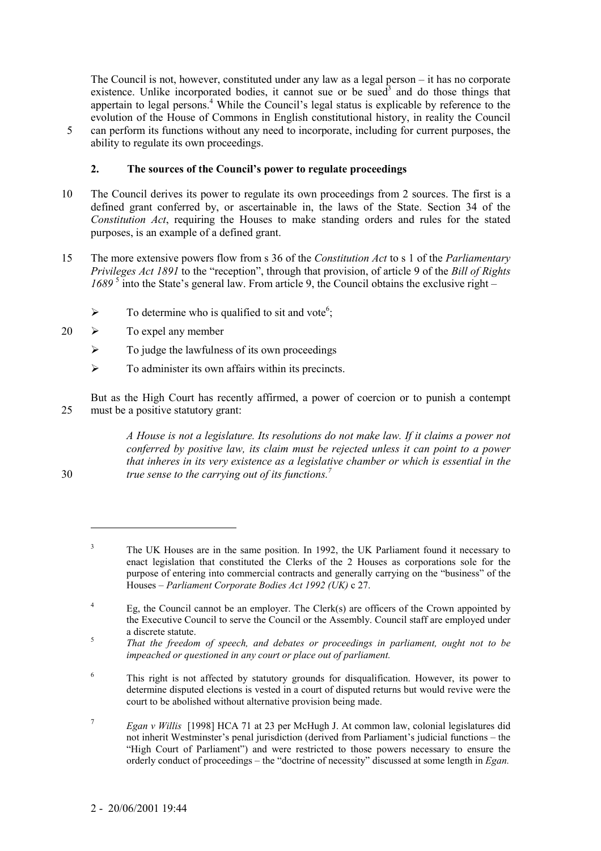The Council is not, however, constituted under any law as a legal person  $-$  it has no corporate existence. Unlike incorporated bodies, it cannot sue or be sued<sup>3</sup> and do those things that appertain to legal persons.<sup>4</sup> While the Council's legal status is explicable by reference to the evolution of the House of Commons in English constitutional history, in reality the Council 5 can perform its functions without any need to incorporate, including for current purposes, the ability to regulate its own proceedings.

# 2. The sources of the Council's power to regulate proceedings

- 10 The Council derives its power to regulate its own proceedings from 2 sources. The first is a defined grant conferred by, or ascertainable in, the laws of the State. Section 34 of the *Constitution Act*, requiring the Houses to make standing orders and rules for the stated purposes, is an example of a defined grant.
- 15 The more extensive powers flow from s 36 of the *Constitution Act* to s 1 of the *Parliamentary Privileges Act 1891* to the "reception", through that provision, of article 9 of the *Bill of Rights*  $1689<sup>5</sup>$  into the State's general law. From article 9, the Council obtains the exclusive right  $-$ 
	- $\triangleright$  To determine who is qualified to sit and vote<sup>6</sup>;
- $20 \rightarrow$  To expel any member
	- $\triangleright$  To judge the lawfulness of its own proceedings
	- $\triangleright$  To administer its own affairs within its precincts.

But as the High Court has recently affirmed, a power of coercion or to punish a contempt 25 must be a positive statutory grant:

*A House is not a legislature. Its resolutions do not make law. If it claims a power not conferred by positive law, its claim must be rejected unless it can point to a power that inheres in its very existence as a legislative chamber or which is essential in the true sense to the carrying out of its functions.7* 30

 $\overline{a}$ 

6 This right is not affected by statutory grounds for disqualification. However, its power to determine disputed elections is vested in a court of disputed returns but would revive were the court to be abolished without alternative provision being made.

<sup>7</sup> *Egan v Willis* [1998] HCA 71 at 23 per McHugh J. At common law, colonial legislatures did not inherit Westminster's penal jurisdiction (derived from Parliament's judicial functions – the ìHigh Court of Parliamentî) and were restricted to those powers necessary to ensure the orderly conduct of proceedings – the "doctrine of necessity" discussed at some length in *Egan*.

<sup>3</sup> The UK Houses are in the same position. In 1992, the UK Parliament found it necessary to enact legislation that constituted the Clerks of the 2 Houses as corporations sole for the purpose of entering into commercial contracts and generally carrying on the "business" of the Houses – Parliament Corporate Bodies Act 1992 (UK) c 27.

<sup>4</sup> Eg, the Council cannot be an employer. The Clerk(s) are officers of the Crown appointed by the Executive Council to serve the Council or the Assembly. Council staff are employed under a discrete statute. <sup>5</sup> *That the freedom of speech, and debates or proceedings in parliament, ought not to be*

*impeached or questioned in any court or place out of parliament.*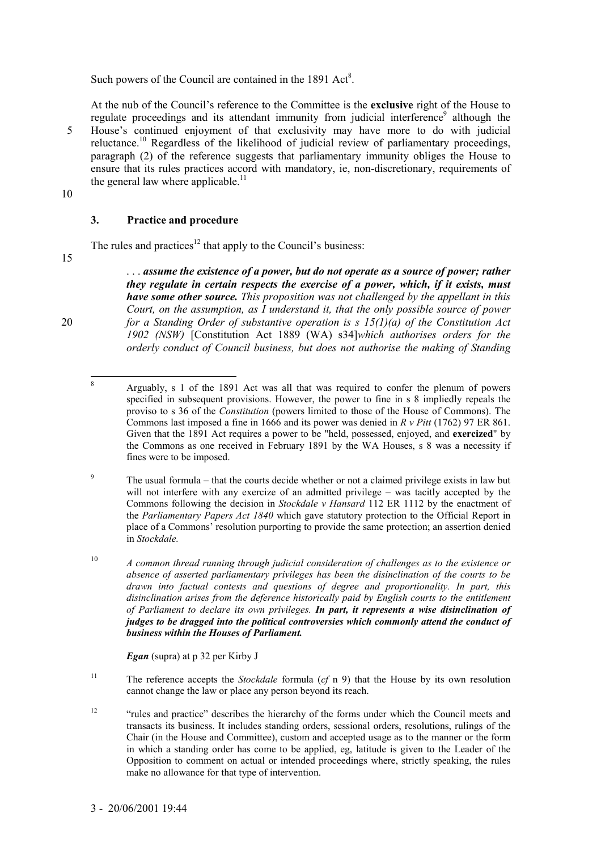Such powers of the Council are contained in the  $1891$  Act<sup>8</sup>.

At the nub of the Councilís reference to the Committee is the **exclusive** right of the House to regulate proceedings and its attendant immunity from judicial interference<sup>9</sup> although the 5 House's continued enjoyment of that exclusivity may have more to do with judicial reluctance.10 Regardless of the likelihood of judicial review of parliamentary proceedings, paragraph (2) of the reference suggests that parliamentary immunity obliges the House to ensure that its rules practices accord with mandatory, ie, non-discretionary, requirements of the general law where applicable.<sup>11</sup>

10

# **3. Practice and procedure**

The rules and practices<sup>12</sup> that apply to the Council's business:

15

. . . *assume the existence of a power, but do not operate as a source of power; rather they regulate in certain respects the exercise of a power, which, if it exists, must have some other source. This proposition was not challenged by the appellant in this Court, on the assumption, as I understand it, that the only possible source of power* 20 *for a Standing Order of substantive operation is s 15(1)(a) of the Constitution Act 1902 (NSW)* [Constitution Act 1889 (WA) s34]*which authorises orders for the orderly conduct of Council business, but does not authorise the making of Standing*

*Egan* (supra) at p 32 per Kirby J

11 The reference accepts the *Stockdale* formula (*cf* n 9) that the House by its own resolution cannot change the law or place any person beyond its reach.

<sup>12</sup> <sup>12</sup> <sup>inv</sup>rules and practice<sup>3</sup> describes the hierarchy of the forms under which the Council meets and transacts its business. It includes standing orders, sessional orders, resolutions, rulings of the Chair (in the House and Committee), custom and accepted usage as to the manner or the form in which a standing order has come to be applied, eg, latitude is given to the Leader of the Opposition to comment on actual or intended proceedings where, strictly speaking, the rules make no allowance for that type of intervention.

 $\frac{1}{8}$  Arguably, s 1 of the 1891 Act was all that was required to confer the plenum of powers specified in subsequent provisions. However, the power to fine in s 8 impliedly repeals the proviso to s 36 of the *Constitution* (powers limited to those of the House of Commons). The Commons last imposed a fine in 1666 and its power was denied in *R v Pitt* (1762) 97 ER 861. Given that the 1891 Act requires a power to be "held, possessed, enjoyed, and **exercized**" by the Commons as one received in February 1891 by the WA Houses, s 8 was a necessity if fines were to be imposed.

<sup>9</sup> The usual formula  $-$  that the courts decide whether or not a claimed privilege exists in law but will not interfere with any exercize of an admitted privilege  $-$  was tacitly accepted by the Commons following the decision in *Stockdale v Hansard* 112 ER 1112 by the enactment of the *Parliamentary Papers Act 1840* which gave statutory protection to the Official Report in place of a Commons' resolution purporting to provide the same protection; an assertion denied in *Stockdale.*

<sup>10</sup> *A common thread running through judicial consideration of challenges as to the existence or absence of asserted parliamentary privileges has been the disinclination of the courts to be drawn into factual contests and questions of degree and proportionality. In part, this disinclination arises from the deference historically paid by English courts to the entitlement of Parliament to declare its own privileges. In part, it represents a wise disinclination of judges to be dragged into the political controversies which commonly attend the conduct of business within the Houses of Parliament.*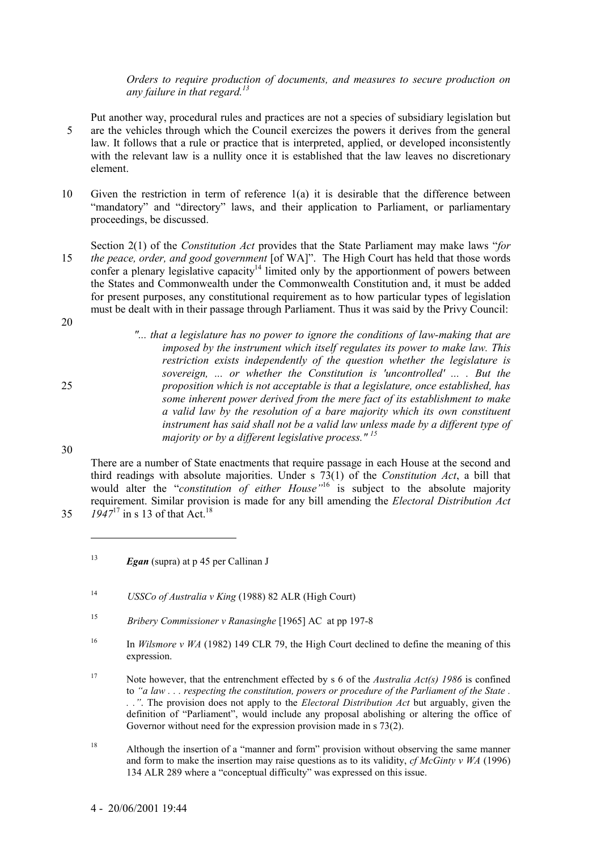*Orders to require production of documents, and measures to secure production on any failure in that regard.13*

- Put another way, procedural rules and practices are not a species of subsidiary legislation but 5 are the vehicles through which the Council exercizes the powers it derives from the general law. It follows that a rule or practice that is interpreted, applied, or developed inconsistently with the relevant law is a nullity once it is established that the law leaves no discretionary element.
- 10 Given the restriction in term of reference 1(a) it is desirable that the difference between "mandatory" and "directory" laws, and their application to Parliament, or parliamentary proceedings, be discussed.
- Section 2(1) of the *Constitution Act* provides that the State Parliament may make laws *''for* 15 *the peace, order, and good government* [of WA]". The High Court has held that those words confer a plenary legislative capacity<sup>14</sup> limited only by the apportionment of powers between the States and Commonwealth under the Commonwealth Constitution and, it must be added for present purposes, any constitutional requirement as to how particular types of legislation must be dealt with in their passage through Parliament. Thus it was said by the Privy Council:
- 20

*"... that a legislature has no power to ignore the conditions of law-making that are imposed by the instrument which itself regulates its power to make law. This restriction exists independently of the question whether the legislature is sovereign, ... or whether the Constitution is 'uncontrolled' ... . But the* 25 *proposition which is not acceptable is that a legislature, once established, has some inherent power derived from the mere fact of its establishment to make a valid law by the resolution of a bare majority which its own constituent instrument has said shall not be a valid law unless made by a different type of majority or by a different legislative process." 15*

30

There are a number of State enactments that require passage in each House at the second and third readings with absolute majorities. Under s 73(1) of the *Constitution Act*, a bill that would alter the "*constitution of either House*<sup>16</sup> is subject to the absolute majority requirement. Similar provision is made for any bill amending the *Electoral Distribution Act* 35  $1947^{17}$  in s 13 of that Act.<sup>18</sup>

- <sup>14</sup> *USSCo of Australia v King* (1988) 82 ALR (High Court)
- <sup>15</sup> *Bribery Commissioner v Ranasinghe* [1965] AC at pp 197-8
- <sup>16</sup> In *Wilsmore v WA* (1982) 149 CLR 79, the High Court declined to define the meaning of this expression.

17 Note however, that the entrenchment effected by s 6 of the *Australia Act(s) 1986* is confined to *ìa law . . . respecting the constitution, powers or procedure of the Parliament of the State . . .î*. The provision does not apply to the *Electoral Distribution Act* but arguably, given the definition of "Parliament", would include any proposal abolishing or altering the office of Governor without need for the expression provision made in s 73(2).

<sup>18</sup> Although the insertion of a "manner and form" provision without observing the same manner and form to make the insertion may raise questions as to its validity, *cf McGinty v WA* (1996) 134 ALR 289 where a "conceptual difficulty" was expressed on this issue.

<sup>13</sup> *Egan* (supra) at p 45 per Callinan J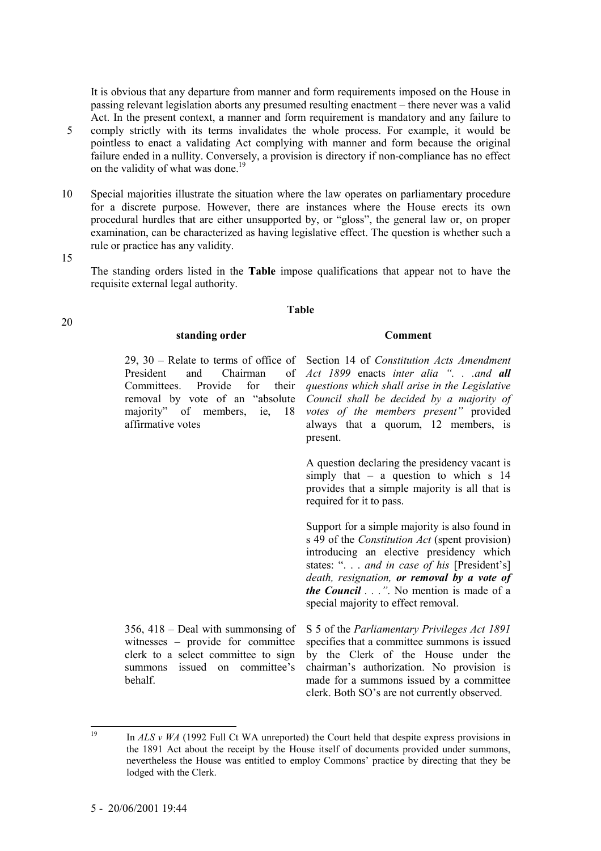It is obvious that any departure from manner and form requirements imposed on the House in passing relevant legislation aborts any presumed resulting enactment – there never was a valid Act. In the present context, a manner and form requirement is mandatory and any failure to 5 comply strictly with its terms invalidates the whole process. For example, it would be pointless to enact a validating Act complying with manner and form because the original failure ended in a nullity. Conversely, a provision is directory if non-compliance has no effect on the validity of what was done.<sup>19</sup>

10 Special majorities illustrate the situation where the law operates on parliamentary procedure for a discrete purpose. However, there are instances where the House erects its own procedural hurdles that are either unsupported by, or "gloss", the general law or, on proper examination, can be characterized as having legislative effect. The question is whether such a rule or practice has any validity.

15

20

The standing orders listed in the **Table** impose qualifications that appear not to have the requisite external legal authority.

#### **Table**

#### *Standing order* Comment

29, 30 – Relate to terms of office of President and Chairman of Committees. Provide for their removal by vote of an "absolute" majority" of members, ie, 18 affirmative votes

Section 14 of *Constitution Acts Amendment Act 1899* enacts *inter alia ì. . .and all questions which shall arise in the Legislative Council shall be decided by a majority of votes of the members present*" provided always that a quorum, 12 members, is present.

A question declaring the presidency vacant is simply that  $-$  a question to which s 14 provides that a simple majority is all that is required for it to pass.

Support for a simple majority is also found in s 49 of the *Constitution Act* (spent provision) introducing an elective presidency which states: ". . . *and in case of his* [President's] *death, resignation, or removal by a vote of the Council . . .î*. No mention is made of a special majority to effect removal.

 $356$ ,  $418$  – Deal with summonsing of witnesses - provide for committee clerk to a select committee to sign summons issued on committee's behalf. S 5 of the *Parliamentary Privileges Act 1891* specifies that a committee summons is issued by the Clerk of the House under the chairman's authorization. No provision is made for a summons issued by a committee clerk. Both SO's are not currently observed.

 $10$ <sup>19</sup> In *ALS v WA* (1992 Full Ct WA unreported) the Court held that despite express provisions in the 1891 Act about the receipt by the House itself of documents provided under summons, nevertheless the House was entitled to employ Commonsí practice by directing that they be lodged with the Clerk.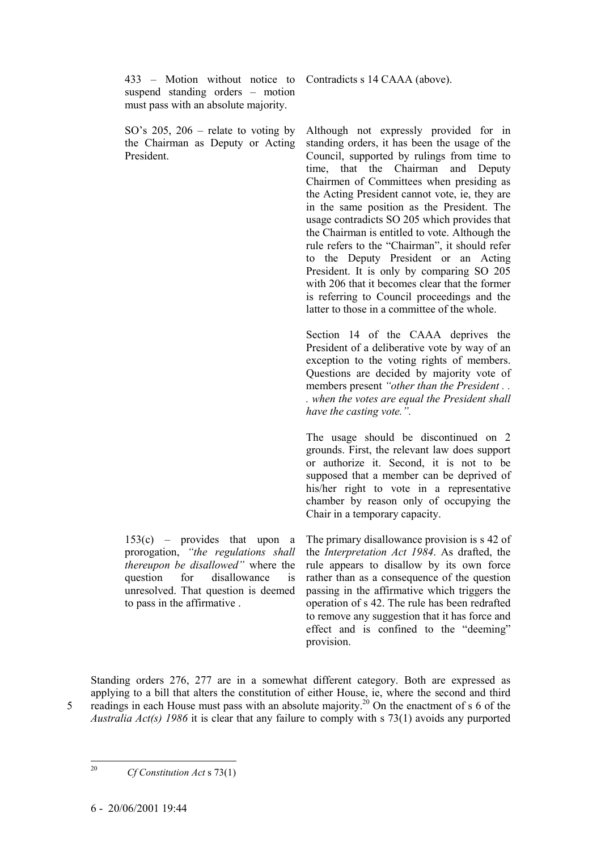433 – Motion without notice to suspend standing orders  $-$  motion must pass with an absolute majority.

SO's  $205$ ,  $206$  – relate to voting by the Chairman as Deputy or Acting President.

Contradicts s 14 CAAA (above).

Although not expressly provided for in standing orders, it has been the usage of the Council, supported by rulings from time to time, that the Chairman and Deputy Chairmen of Committees when presiding as the Acting President cannot vote, ie, they are in the same position as the President. The usage contradicts SO 205 which provides that the Chairman is entitled to vote. Although the rule refers to the "Chairman", it should refer to the Deputy President or an Acting President. It is only by comparing SO 205 with 206 that it becomes clear that the former is referring to Council proceedings and the latter to those in a committee of the whole.

Section 14 of the CAAA deprives the President of a deliberative vote by way of an exception to the voting rights of members. Questions are decided by majority vote of members present "other than the President . . *. when the votes are equal the President shall* have the casting vote.".

The usage should be discontinued on 2 grounds. First, the relevant law does support or authorize it. Second, it is not to be supposed that a member can be deprived of his/her right to vote in a representative chamber by reason only of occupying the Chair in a temporary capacity.

 $153(c)$  – provides that upon a prorogation, "the regulations shall *thereupon be disallowed*" where the question for disallowance is unresolved. That question is deemed to pass in the affirmative .

The primary disallowance provision is s 42 of the *Interpretation Act 1984*. As drafted, the rule appears to disallow by its own force rather than as a consequence of the question passing in the affirmative which triggers the operation of s 42. The rule has been redrafted to remove any suggestion that it has force and effect and is confined to the "deeming" provision.

Standing orders 276, 277 are in a somewhat different category. Both are expressed as applying to a bill that alters the constitution of either House, ie, where the second and third 5 readings in each House must pass with an absolute majority.<sup>20</sup> On the enactment of s 6 of the *Australia Act(s) 1986* it is clear that any failure to comply with s 73(1) avoids any purported

 $20<sup>o</sup>$ 

<sup>20</sup> *Cf Constitution Act* s 73(1)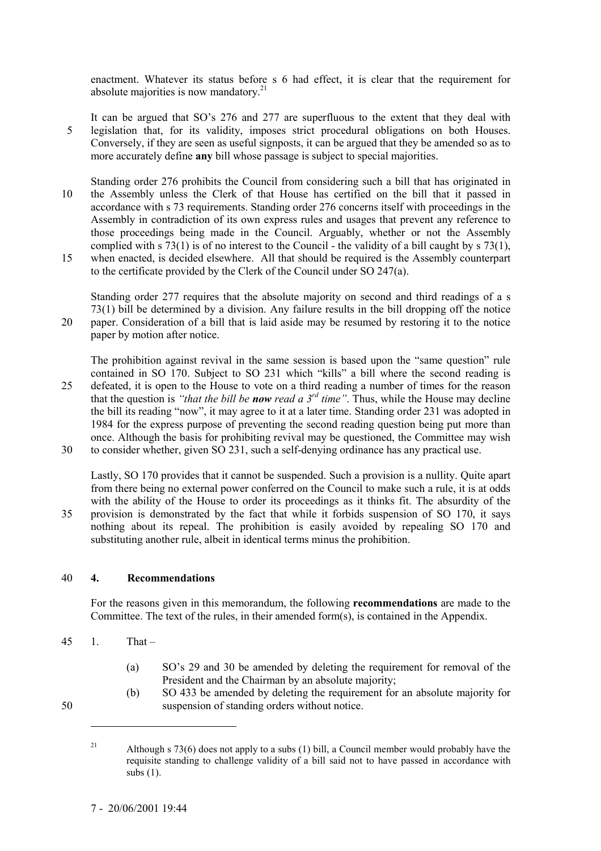enactment. Whatever its status before s 6 had effect, it is clear that the requirement for absolute majorities is now mandatory. $2<sup>1</sup>$ 

- It can be argued that SO's 276 and 277 are superfluous to the extent that they deal with 5 legislation that, for its validity, imposes strict procedural obligations on both Houses. Conversely, if they are seen as useful signposts, it can be argued that they be amended so as to more accurately define **any** bill whose passage is subject to special majorities.
- Standing order 276 prohibits the Council from considering such a bill that has originated in 10 the Assembly unless the Clerk of that House has certified on the bill that it passed in accordance with s 73 requirements. Standing order 276 concerns itself with proceedings in the Assembly in contradiction of its own express rules and usages that prevent any reference to those proceedings being made in the Council. Arguably, whether or not the Assembly complied with s 73(1) is of no interest to the Council - the validity of a bill caught by s 73(1),
- 15 when enacted, is decided elsewhere. All that should be required is the Assembly counterpart to the certificate provided by the Clerk of the Council under SO 247(a).

Standing order 277 requires that the absolute majority on second and third readings of a s 73(1) bill be determined by a division. Any failure results in the bill dropping off the notice 20 paper. Consideration of a bill that is laid aside may be resumed by restoring it to the notice paper by motion after notice.

The prohibition against revival in the same session is based upon the "same question" rule contained in SO  $170$ . Subject to SO 231 which "kills" a bill where the second reading is 25 defeated, it is open to the House to vote on a third reading a number of times for the reason that the question is *"that the bill be now read a 3<sup>rd</sup> time"*. Thus, while the House may decline the bill its reading "now", it may agree to it at a later time. Standing order 231 was adopted in 1984 for the express purpose of preventing the second reading question being put more than once. Although the basis for prohibiting revival may be questioned, the Committee may wish 30 to consider whether, given SO 231, such a self-denying ordinance has any practical use.

Lastly, SO 170 provides that it cannot be suspended. Such a provision is a nullity. Quite apart from there being no external power conferred on the Council to make such a rule, it is at odds with the ability of the House to order its proceedings as it thinks fit. The absurdity of the 35 provision is demonstrated by the fact that while it forbids suspension of SO 170, it says nothing about its repeal. The prohibition is easily avoided by repealing SO 170 and substituting another rule, albeit in identical terms minus the prohibition.

# 40 **4. Recommendations**

For the reasons given in this memorandum, the following **recommendations** are made to the Committee. The text of the rules, in their amended form(s), is contained in the Appendix.

 $45 \quad 1.$  That –

- (a) SOís 29 and 30 be amended by deleting the requirement for removal of the President and the Chairman by an absolute majority;
- (b) SO 433 be amended by deleting the requirement for an absolute majority for 50 suspension of standing orders without notice.
	- <sup>21</sup> Although s 73(6) does not apply to a subs (1) bill, a Council member would probably have the requisite standing to challenge validity of a bill said not to have passed in accordance with subs (1).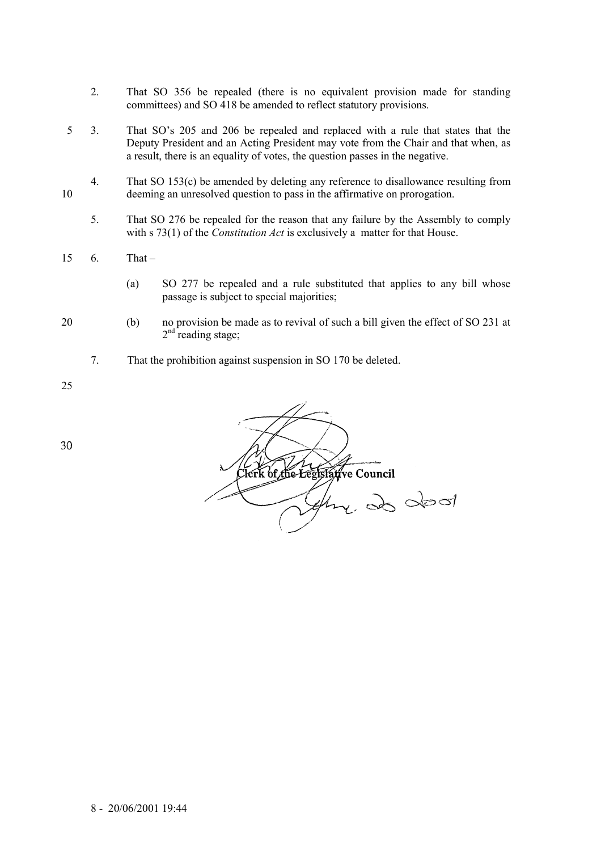- 2. That SO 356 be repealed (there is no equivalent provision made for standing committees) and SO 418 be amended to reflect statutory provisions.
- 5 3. That SO's 205 and 206 be repealed and replaced with a rule that states that the Deputy President and an Acting President may vote from the Chair and that when, as a result, there is an equality of votes, the question passes in the negative.
- 4. That SO 153(c) be amended by deleting any reference to disallowance resulting from 10 deeming an unresolved question to pass in the affirmative on prorogation.
	- 5. That SO 276 be repealed for the reason that any failure by the Assembly to comply with s 73(1) of the *Constitution Act* is exclusively a matter for that House.
- $15 \quad 6.$  That  $-$ 
	- (a) SO 277 be repealed and a rule substituted that applies to any bill whose passage is subject to special majorities;
- 
- 20 (b) no provision be made as to revival of such a bill given the effect of SO 231 at  $2<sup>nd</sup>$  reading stage;
	- 7. That the prohibition against suspension in SO 170 be deleted.

25

Clerk of the Eegfslative Council  $\epsilon$ , 20 dec/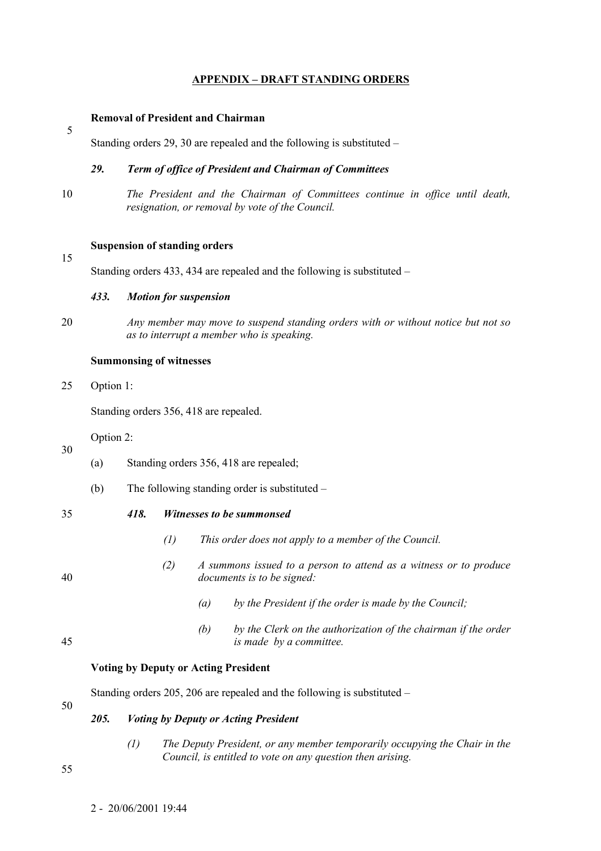# **APPENDIX – DRAFT STANDING ORDERS**

# **Removal of President and Chairman**

Standing orders  $29$ ,  $30$  are repealed and the following is substituted  $-$ 

# *29. Term of office of President and Chairman of Committees*

10 *The President and the Chairman of Committees continue in office until death, resignation, or removal by vote of the Council.*

# **Suspension of standing orders**

Standing orders  $433$ ,  $434$  are repealed and the following is substituted –

## *433. Motion for suspension*

20 *Any member may move to suspend standing orders with or without notice but not so as to interrupt a member who is speaking.*

#### **Summonsing of witnesses**

25 Option 1:

Standing orders 356, 418 are repealed.

Option 2:

| (a) | Standing orders 356, 418 are repealed; |
|-----|----------------------------------------|
|     |                                        |

- (b) The following standing order is substituted  $-\frac{1}{2}$
- 

30

5

15

# 35 *418. Witnesses to be summonsed*

*(1) This order does not apply to a member of the Council.*

- 
- *(2) A summons issued to a person to attend as a witness or to produce* 40 *documents is to be signed:*
	- *(a) by the President if the order is made by the Council;*
- *(b) by the Clerk on the authorization of the chairman if the order* 45 *is made by a committee.*

# **Voting by Deputy or Acting President**

Standing orders 205, 206 are repealed and the following is substituted  $-$ 

# *205. Voting by Deputy or Acting President*

*(1) The Deputy President, or any member temporarily occupying the Chair in the Council, is entitled to vote on any question then arising.*